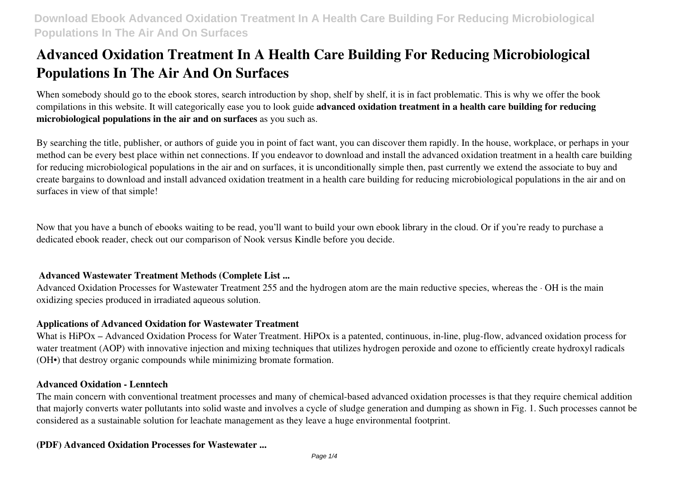# **Advanced Oxidation Treatment In A Health Care Building For Reducing Microbiological Populations In The Air And On Surfaces**

When somebody should go to the ebook stores, search introduction by shop, shelf by shelf, it is in fact problematic. This is why we offer the book compilations in this website. It will categorically ease you to look guide **advanced oxidation treatment in a health care building for reducing microbiological populations in the air and on surfaces** as you such as.

By searching the title, publisher, or authors of guide you in point of fact want, you can discover them rapidly. In the house, workplace, or perhaps in your method can be every best place within net connections. If you endeavor to download and install the advanced oxidation treatment in a health care building for reducing microbiological populations in the air and on surfaces, it is unconditionally simple then, past currently we extend the associate to buy and create bargains to download and install advanced oxidation treatment in a health care building for reducing microbiological populations in the air and on surfaces in view of that simple!

Now that you have a bunch of ebooks waiting to be read, you'll want to build your own ebook library in the cloud. Or if you're ready to purchase a dedicated ebook reader, check out our comparison of Nook versus Kindle before you decide.

# **Advanced Wastewater Treatment Methods (Complete List ...**

Advanced Oxidation Processes for Wastewater Treatment 255 and the hydrogen atom are the main reductive species, whereas the · OH is the main oxidizing species produced in irradiated aqueous solution.

## **Applications of Advanced Oxidation for Wastewater Treatment**

What is HiPOx – Advanced Oxidation Process for Water Treatment. HiPOx is a patented, continuous, in-line, plug-flow, advanced oxidation process for water treatment (AOP) with innovative injection and mixing techniques that utilizes hydrogen peroxide and ozone to efficiently create hydroxyl radicals (OH•) that destroy organic compounds while minimizing bromate formation.

# **Advanced Oxidation - Lenntech**

The main concern with conventional treatment processes and many of chemical-based advanced oxidation processes is that they require chemical addition that majorly converts water pollutants into solid waste and involves a cycle of sludge generation and dumping as shown in Fig. 1. Such processes cannot be considered as a sustainable solution for leachate management as they leave a huge environmental footprint.

## **(PDF) Advanced Oxidation Processes for Wastewater ...**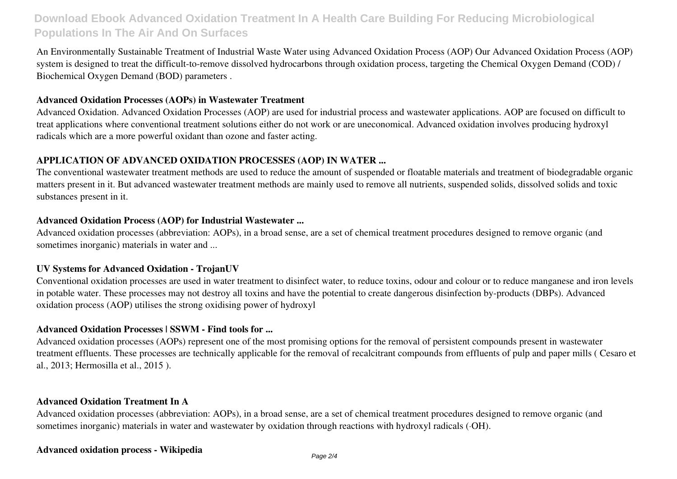# **Download Ebook Advanced Oxidation Treatment In A Health Care Building For Reducing Microbiological Populations In The Air And On Surfaces**

An Environmentally Sustainable Treatment of Industrial Waste Water using Advanced Oxidation Process (AOP) Our Advanced Oxidation Process (AOP) system is designed to treat the difficult-to-remove dissolved hydrocarbons through oxidation process, targeting the Chemical Oxygen Demand (COD) / Biochemical Oxygen Demand (BOD) parameters .

#### **Advanced Oxidation Processes (AOPs) in Wastewater Treatment**

Advanced Oxidation. Advanced Oxidation Processes (AOP) are used for industrial process and wastewater applications. AOP are focused on difficult to treat applications where conventional treatment solutions either do not work or are uneconomical. Advanced oxidation involves producing hydroxyl radicals which are a more powerful oxidant than ozone and faster acting.

#### **APPLICATION OF ADVANCED OXIDATION PROCESSES (AOP) IN WATER ...**

The conventional wastewater treatment methods are used to reduce the amount of suspended or floatable materials and treatment of biodegradable organic matters present in it. But advanced wastewater treatment methods are mainly used to remove all nutrients, suspended solids, dissolved solids and toxic substances present in it.

#### **Advanced Oxidation Process (AOP) for Industrial Wastewater ...**

Advanced oxidation processes (abbreviation: AOPs), in a broad sense, are a set of chemical treatment procedures designed to remove organic (and sometimes inorganic) materials in water and ...

#### **UV Systems for Advanced Oxidation - TrojanUV**

Conventional oxidation processes are used in water treatment to disinfect water, to reduce toxins, odour and colour or to reduce manganese and iron levels in potable water. These processes may not destroy all toxins and have the potential to create dangerous disinfection by-products (DBPs). Advanced oxidation process (AOP) utilises the strong oxidising power of hydroxyl

#### **Advanced Oxidation Processes | SSWM - Find tools for ...**

Advanced oxidation processes (AOPs) represent one of the most promising options for the removal of persistent compounds present in wastewater treatment effluents. These processes are technically applicable for the removal of recalcitrant compounds from effluents of pulp and paper mills ( Cesaro et al., 2013; Hermosilla et al., 2015 ).

#### **Advanced Oxidation Treatment In A**

Advanced oxidation processes (abbreviation: AOPs), in a broad sense, are a set of chemical treatment procedures designed to remove organic (and sometimes inorganic) materials in water and wastewater by oxidation through reactions with hydroxyl radicals (·OH).

#### **Advanced oxidation process - Wikipedia**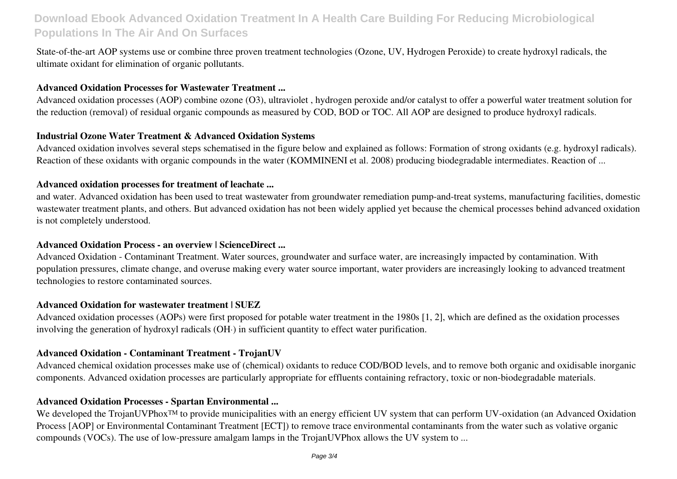# **Download Ebook Advanced Oxidation Treatment In A Health Care Building For Reducing Microbiological Populations In The Air And On Surfaces**

State-of-the-art AOP systems use or combine three proven treatment technologies (Ozone, UV, Hydrogen Peroxide) to create hydroxyl radicals, the ultimate oxidant for elimination of organic pollutants.

#### **Advanced Oxidation Processes for Wastewater Treatment ...**

Advanced oxidation processes (AOP) combine ozone (O3), ultraviolet , hydrogen peroxide and/or catalyst to offer a powerful water treatment solution for the reduction (removal) of residual organic compounds as measured by COD, BOD or TOC. All AOP are designed to produce hydroxyl radicals.

#### **Industrial Ozone Water Treatment & Advanced Oxidation Systems**

Advanced oxidation involves several steps schematised in the figure below and explained as follows: Formation of strong oxidants (e.g. hydroxyl radicals). Reaction of these oxidants with organic compounds in the water (KOMMINENI et al. 2008) producing biodegradable intermediates. Reaction of ...

#### **Advanced oxidation processes for treatment of leachate ...**

and water. Advanced oxidation has been used to treat wastewater from groundwater remediation pump-and-treat systems, manufacturing facilities, domestic wastewater treatment plants, and others. But advanced oxidation has not been widely applied yet because the chemical processes behind advanced oxidation is not completely understood.

#### **Advanced Oxidation Process - an overview | ScienceDirect ...**

Advanced Oxidation - Contaminant Treatment. Water sources, groundwater and surface water, are increasingly impacted by contamination. With population pressures, climate change, and overuse making every water source important, water providers are increasingly looking to advanced treatment technologies to restore contaminated sources.

## **Advanced Oxidation for wastewater treatment | SUEZ**

Advanced oxidation processes (AOPs) were first proposed for potable water treatment in the 1980s [1, 2], which are defined as the oxidation processes involving the generation of hydroxyl radicals (OH·) in sufficient quantity to effect water purification.

#### **Advanced Oxidation - Contaminant Treatment - TrojanUV**

Advanced chemical oxidation processes make use of (chemical) oxidants to reduce COD/BOD levels, and to remove both organic and oxidisable inorganic components. Advanced oxidation processes are particularly appropriate for effluents containing refractory, toxic or non-biodegradable materials.

#### **Advanced Oxidation Processes - Spartan Environmental ...**

We developed the TrojanUVPhox<sup>™</sup> to provide municipalities with an energy efficient UV system that can perform UV-oxidation (an Advanced Oxidation Process [AOP] or Environmental Contaminant Treatment [ECT]) to remove trace environmental contaminants from the water such as volative organic compounds (VOCs). The use of low-pressure amalgam lamps in the TrojanUVPhox allows the UV system to ...